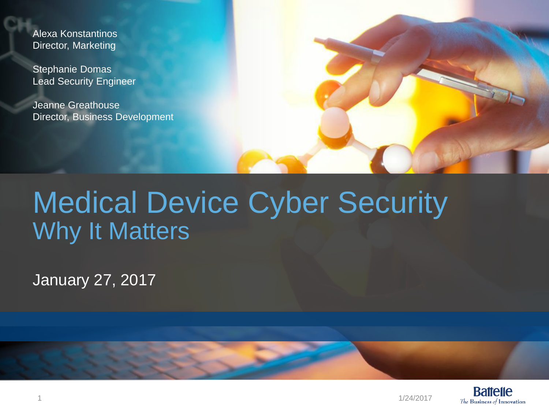Alexa Konstantinos Director, Marketing

Stephanie Domas Lead Security Engineer

Jeanne Greathouse Director, Business Development



### Medical Device Cyber Security Why It Matters

January 27, 2017

**Battelle** The Business of Innovation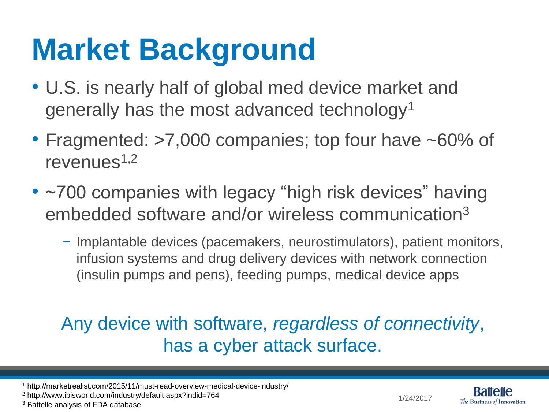## **Market Background**

- U.S. is nearly half of global med device market and generally has the most advanced technology<sup>1</sup>
- Fragmented: >7,000 companies; top four have ~60% of revenues $1,2$
- ~700 companies with legacy "high risk devices" having embedded software and/or wireless communication<sup>3</sup>
	- − Implantable devices (pacemakers, neurostimulators), patient monitors, infusion systems and drug delivery devices with network connection (insulin pumps and pens), feeding pumps, medical device apps

### Any device with software, *regardless of connectivity*, has a cyber attack surface.



<sup>1</sup> http://marketrealist.com/2015/11/must-read-overview-medical-device-industry/

<sup>2</sup> http://www.ibisworld.com/industry/default.aspx?indid=764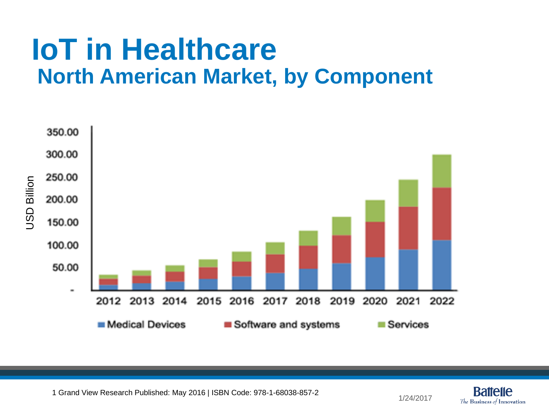### **IoT in Healthcare North American Market, by Component**



1 Grand View Research Published: May 2016 | ISBN Code: 978-1-68038-857-2

1/24/2017

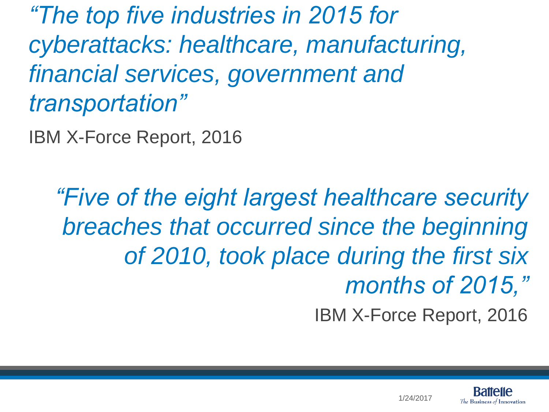*"The top five industries in 2015 for cyberattacks: healthcare, manufacturing, financial services, government and transportation"* 

IBM X-Force Report, 2016

*"Five of the eight largest healthcare security breaches that occurred since the beginning of 2010, took place during the first six months of 2015,"*

IBM X-Force Report, 2016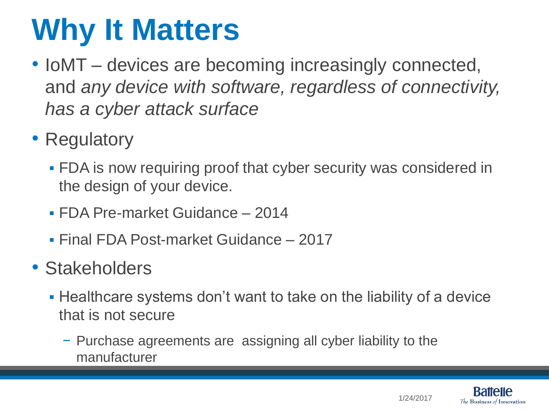## **Why It Matters**

- IoMT devices are becoming increasingly connected, and *any device with software, regardless of connectivity, has a cyber attack surface*
- Regulatory
	- **FDA** is now requiring proof that cyber security was considered in the design of your device.
	- FDA Pre-market Guidance 2014
	- Final FDA Post-market Guidance 2017
- Stakeholders
	- Healthcare systems don't want to take on the liability of a device that is not secure
		- − Purchase agreements are assigning all cyber liability to the manufacturer

1/24/2017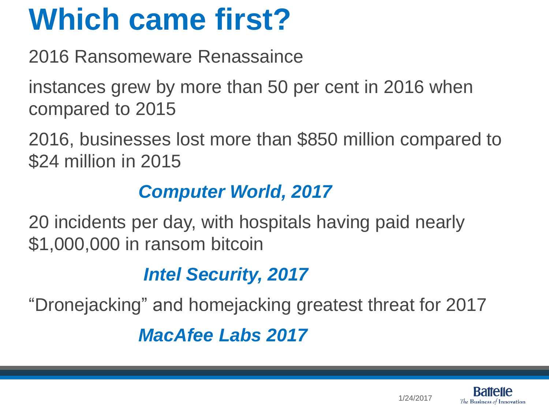## **Which came first?**

2016 Ransomeware Renassaince

instances grew by more than 50 per cent in 2016 when compared to 2015

2016, businesses lost more than \$850 million compared to \$24 million in 2015

#### *Computer World, 2017*

20 incidents per day, with hospitals having paid nearly \$1,000,000 in ransom bitcoin

### *Intel Security, 2017*

"Dronejacking" and homejacking greatest threat for 2017

*MacAfee Labs 2017*

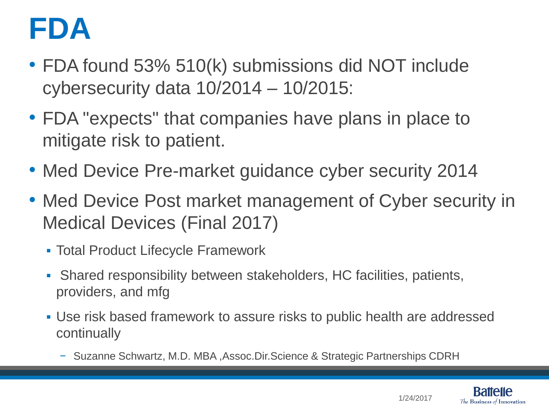## **FDA**

- FDA found 53% 510(k) submissions did NOT include cybersecurity data 10/2014 – 10/2015:
- FDA "expects" that companies have plans in place to mitigate risk to patient.
- Med Device Pre-market guidance cyber security 2014
- Med Device Post market management of Cyber security in Medical Devices (Final 2017)
	- Total Product Lifecycle Framework
	- Shared responsibility between stakeholders, HC facilities, patients, providers, and mfg
	- Use risk based framework to assure risks to public health are addressed continually
		- − Suzanne Schwartz, M.D. MBA ,Assoc.Dir.Science & Strategic Partnerships CDRH

1/24/2017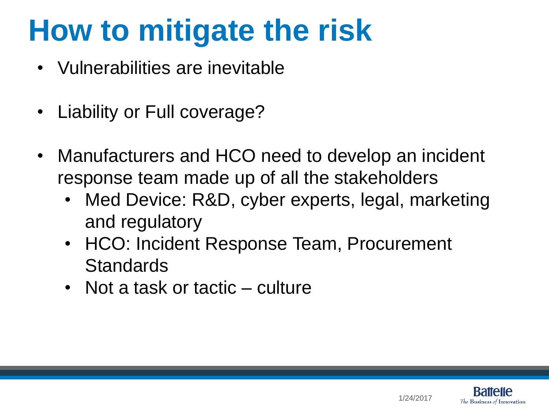# **How to mitigate the risk**

- Vulnerabilities are inevitable
- Liability or Full coverage?
- Manufacturers and HCO need to develop an incident response team made up of all the stakeholders
	- Med Device: R&D, cyber experts, legal, marketing and regulatory
	- HCO: Incident Response Team, Procurement **Standards**
	- Not a task or tactic culture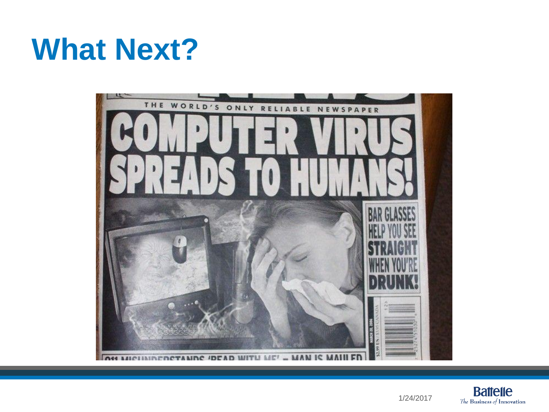### **What Next?**